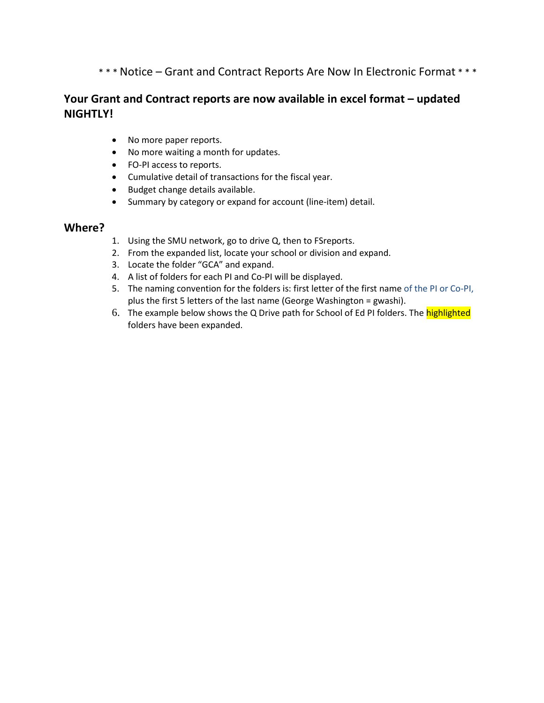\* \* \* Notice – Grant and Contract Reports Are Now In Electronic Format \* \* \*

# **Your Grant and Contract reports are now available in excel format – updated NIGHTLY!**

- No more paper reports.
- No more waiting a month for updates.
- FO-PI access to reports.
- Cumulative detail of transactions for the fiscal year.
- Budget change details available.
- Summary by category or expand for account (line-item) detail.

#### **Where?**

- 1. Using the SMU network, go to drive Q, then to FSreports.
- 2. From the expanded list, locate your school or division and expand.
- 3. Locate the folder "GCA" and expand.
- 4. A list of folders for each PI and Co-PI will be displayed.
- 5. The naming convention for the folders is: first letter of the first name of the PI or Co-PI, plus the first 5 letters of the last name (George Washington = gwashi).
- 6. The example below shows the Q Drive path for School of Ed PI folders. The **highlighted** folders have been expanded.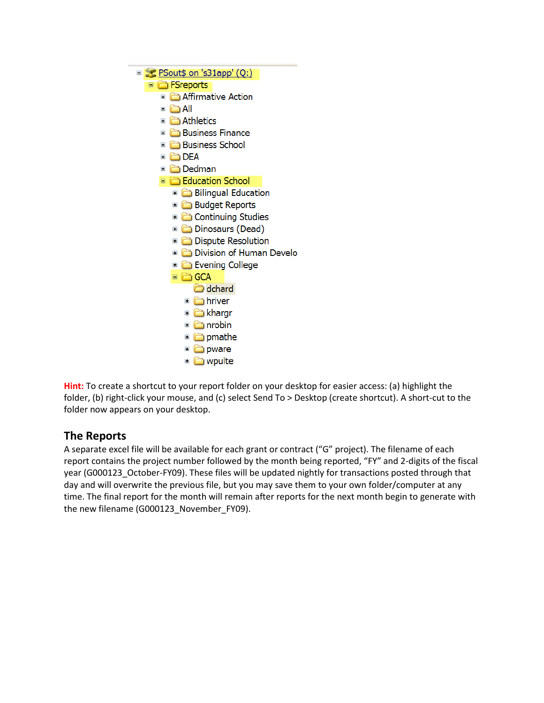

**Hint:** To create a shortcut to your report folder on your desktop for easier access: (a) highlight the folder, (b) right-click your mouse, and (c) select Send To > Desktop (create shortcut). A short-cut to the folder now appears on your desktop.

# **The Reports**

A separate excel file will be available for each grant or contract ("G" project). The filename of each report contains the project number followed by the month being reported, "FY" and 2-digits of the fiscal year (G000123\_October-FY09). These files will be updated nightly for transactions posted through that day and will overwrite the previous file, but you may save them to your own folder/computer at any time. The final report for the month will remain after reports for the next month begin to generate with the new filename (G000123\_November\_FY09).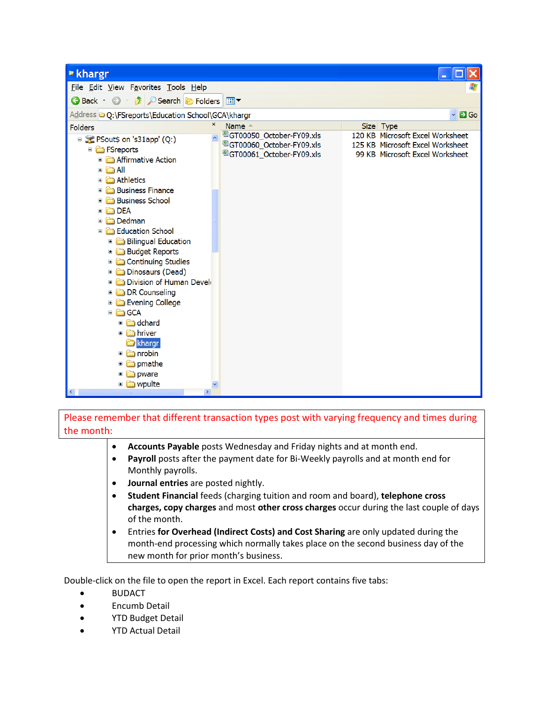| * khargr                                                                                                                                                                                                                                                                                                                                                                                                                                                                                                                                              |                                                                                                                         |                                                                                                         |  |  |  |  |  |  |  |  |  |  |
|-------------------------------------------------------------------------------------------------------------------------------------------------------------------------------------------------------------------------------------------------------------------------------------------------------------------------------------------------------------------------------------------------------------------------------------------------------------------------------------------------------------------------------------------------------|-------------------------------------------------------------------------------------------------------------------------|---------------------------------------------------------------------------------------------------------|--|--|--|--|--|--|--|--|--|--|
| File Edit View Favorites Tools Help                                                                                                                                                                                                                                                                                                                                                                                                                                                                                                                   |                                                                                                                         |                                                                                                         |  |  |  |  |  |  |  |  |  |  |
| <b>D</b> Search <b>D</b> Folders<br>G Back ·<br>$\mathbf{m}$                                                                                                                                                                                                                                                                                                                                                                                                                                                                                          |                                                                                                                         |                                                                                                         |  |  |  |  |  |  |  |  |  |  |
| Address @ Q:\FSreports\Education School\GCA\khargr                                                                                                                                                                                                                                                                                                                                                                                                                                                                                                    |                                                                                                                         | $\blacksquare$ Go<br>v                                                                                  |  |  |  |  |  |  |  |  |  |  |
| <b>Folders</b>                                                                                                                                                                                                                                                                                                                                                                                                                                                                                                                                        | $\pmb{\times}$<br>Name $\triangle$                                                                                      | Size Type                                                                                               |  |  |  |  |  |  |  |  |  |  |
| <b>E</b> Sout\$ on 's31app' (Q:)<br><b>E</b> FSreports<br>Affirmative Action<br>$\square$ $\square$ $\blacksquare$ All<br>Athletics<br>Œ<br><b>Business Finance</b><br><b>Business School</b><br><b>DEA</b><br>Ξ<br>Dedman<br>$\square$<br>Education School<br>Ξ<br><b>Bilingual Education</b><br><b>Budget Reports</b><br>Continuing Studies<br>Dinosaurs (Dead)<br>Division of Human Develo<br><b>DR</b> Counseling<br><b>Exening College</b><br>□ □ GCA<br>dchard<br>hriver<br>khargr<br>in nrobin<br>pmathe<br>$\Box$<br>pware<br><b>E</b> wpulte | <sup>图</sup> GT00050_October-FY09.xls<br><sup>3</sup> GT00060 October-FY09.xls<br><sup>图</sup> GT00061 October-FY09.xls | 120 KB Microsoft Excel Worksheet<br>125 KB Microsoft Excel Worksheet<br>99 KB Microsoft Excel Worksheet |  |  |  |  |  |  |  |  |  |  |
| $\rightarrow$                                                                                                                                                                                                                                                                                                                                                                                                                                                                                                                                         |                                                                                                                         |                                                                                                         |  |  |  |  |  |  |  |  |  |  |

Please remember that different transaction types post with varying frequency and times during the month:

- **Accounts Payable** posts Wednesday and Friday nights and at month end.
- **Payroll** posts after the payment date for Bi-Weekly payrolls and at month end for Monthly payrolls.
- **Journal entries** are posted nightly.
- **Student Financial** feeds (charging tuition and room and board), **telephone cross charges, copy charges** and most **other cross charges** occur during the last couple of days of the month.
- Entries **for Overhead (Indirect Costs) and Cost Sharing** are only updated during the month-end processing which normally takes place on the second business day of the new month for prior month's business.

Double-click on the file to open the report in Excel. Each report contains five tabs:

- BUDACT
- Encumb Detail
- YTD Budget Detail
- YTD Actual Detail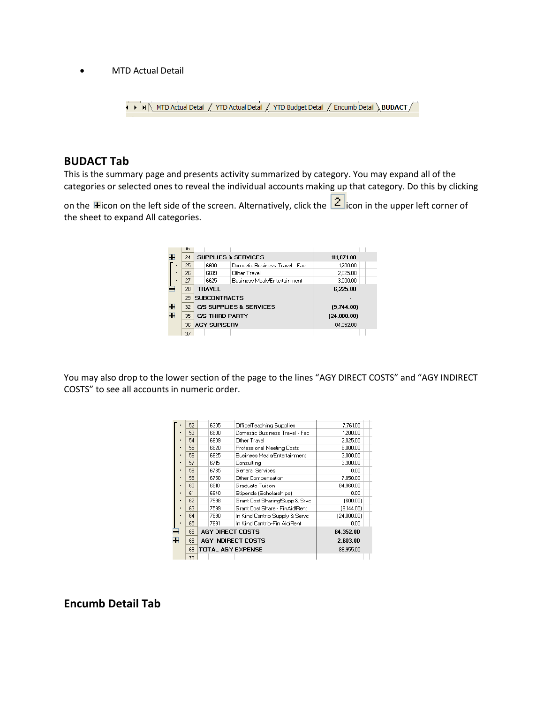• MTD Actual Detail



### **BUDACT Tab**

This is the summary page and presents activity summarized by category. You may expand all of the categories or selected ones to reveal the individual accounts making up that category. Do this by clicking

on the **H**icon on the left side of the screen. Alternatively, click the  $\frac{2}{1}$ icon in the upper left corner of the sheet to expand All categories.

|   | ю  |                                |                                    |             |
|---|----|--------------------------------|------------------------------------|-------------|
| н | 24 | <b>SUPPLIES &amp; SERVICES</b> |                                    | 111,871.00  |
|   | 25 | 6600                           | Domestic Business Travel - Fac     | 1,200.00    |
|   | 26 | 6609                           | Other Travel                       | 2,025.00    |
|   | 27 | 6625                           | Business Meals/Entertainment       | 3,000.00    |
|   | 28 | <b>TRAVEL</b>                  |                                    | 6.225.00    |
|   | 29 | <b>SUBCONTRACTS</b>            |                                    |             |
| H | 32 |                                | <b>CIS SUPPLIES &amp; SERVICES</b> | (9,744.00)  |
| m | 35 | C/S THIRD PARTY                |                                    | [24,000.00] |
|   | 36 | <b>AGY SUPISERV</b>            |                                    | 84.352.00   |
|   | 37 |                                |                                    |             |

You may also drop to the lower section of the page to the lines "AGY DIRECT COSTS" and "AGY INDIRECT COSTS" to see all accounts in numeric order.

|   | 52 | 6305                      | Office/Teaching Supplies       | 7,761.00    |  |
|---|----|---------------------------|--------------------------------|-------------|--|
|   | 53 | 6600                      | Domestic Business Travel - Fac | 1.200.00    |  |
|   | 54 | 6609                      | Other Travel                   | 2.025.00    |  |
|   | 55 | 6620                      | Professional Meeting Costs     | 8.000.00    |  |
| ٠ | 56 | 6625                      | Business Meals/Entertainment   | 3.000.00    |  |
| ٠ | 57 | 6715                      | Consulting                     | 3.300.00    |  |
| ٠ | 58 | 6735                      | <b>General Services</b>        | 0.00        |  |
| ٠ | 59 | 6750                      | Other Compensation             | 7.850.00    |  |
| ٠ | 60 | 6810                      | Graduate Tuition               | 84.960.00   |  |
| ٠ | 61 | 6840                      | Stipends (Scholarships)        | 0.00        |  |
| ٠ | 62 | 7598                      | Grant Cost Sharing/Supp & Srvc | (600.001    |  |
| ٠ | 63 | 7599                      | Grant Cost Share - FinAid Bent | (9,144.00)  |  |
| ٠ | 64 | 7690                      | In Kind Contrib Supply & Servo | (24,000.00) |  |
|   | 65 | 7691                      | In Kind Contrib-Fin Aid/Rent   | 0.00        |  |
|   | 66 | <b>AGY DIRECT COSTS</b>   |                                | 84,352.00   |  |
| æ | 68 | <b>AGY INDIRECT COSTS</b> |                                | 2.603.00    |  |
|   | 69 | <b>TOTAL AGY EXPENSE</b>  |                                | 86.955.00   |  |
|   | 70 |                           |                                |             |  |

**Encumb Detail Tab**